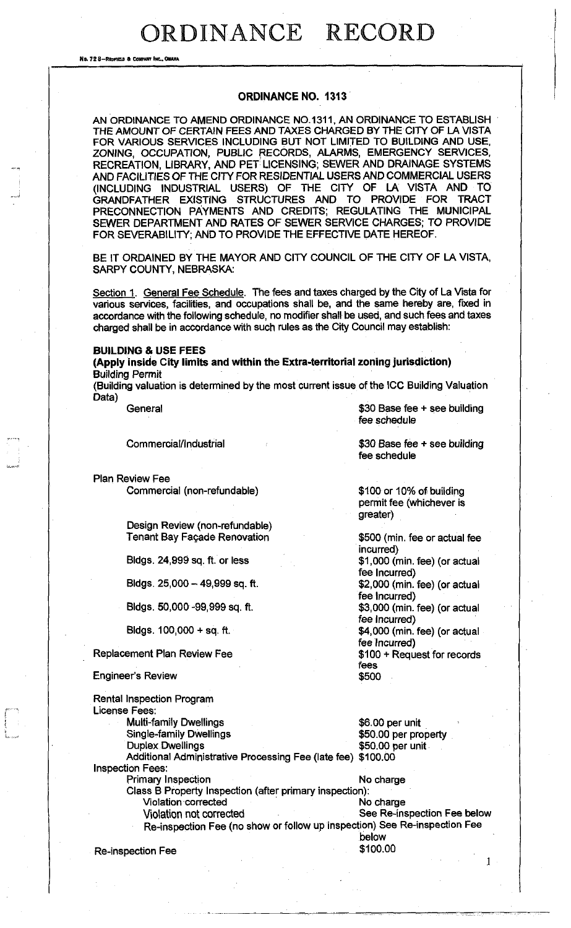No. 72 8-Reprield & Confr

#### **ORDINANCE NO. 1313**

AN ORDINANCE TO AMEND ORDINANCE NO.1311, AN ORDINANCE TO ESTABLISH THE AMOUNT OF CERTAIN FEES AND TAXES CHARGED BY THE CITY OF LA VISTA FOR VARIOUS SERVICES INCLUDING BUT NOT LIMITED TO BUILDING AND USE, ZONING, OCCUPATION, PUBLIC RECORDS, ALARMS, EMERGENCY SERVICES, RECREATION, LIBRARY, AND PET LICENSING; SEWER AND DRAINAGE SYSTEMS AND FACILITIES OF THE CITY FOR RESIDENTIAL USERS AND COMMERCIAL USERS (INCLUDING INDUSTRIAL USERS) OF THE CITY OF LA VISTA AND TO GRANDFATHER EXISTING STRUCTURES AND TO PROVIDE FOR TRACT PRECONNECTION PAYMENTS AND CREDITS; REGULATING THE MUNICIPAL SEWER DEPARTMENT AND RATES OF SEWER SERVICE CHARGES; TO PROVIDE FOR SEVERABILITY; AND TO PROVIDE THE EFFECTIVE DATE HEREOF.

BE IT ORDAINED BY THE MAYOR AND CITY COUNCIL OF THE CITY OF LA VISTA, SARPY COUNTY, NEBRASKA:

Section 1. General Fee Schedule. The fees and taxes charged by the City of La Vista for various services, facilities, and occupations shall be, and the same hereby are, fixed in accordance with the following schedule, no modifier shall be used, and such fees and taxes charged shall be in accordance with such rules as the City Council may establish:

#### **BUILDING & USE FEES**

**(Apply inside City limits and within the Extra-territorial zoning jurisdiction)**  Building Permit

(Building valuation is determined by the most current issue of the ICC Building Valuation Data)

General **6**30 Base fee + see building fee schedule

Plan Review Fee

Commercial (non-refundable)

Design Review (non-refundable) Tenant Bay Fagade Renovation

Bldgs. 24,999 sq. ft. or less

Bldgs. 25,000 - 49,999 sq. ft.

Bldgs. 50,000 -99,999 sq. ft.

Bldgs. 100,000 + sq. ft.

Replacement Plan Review Fee

#### Engineer's Review

Rental Inspection Program License Fees:

Multi-family Dwellings 6.00 per unit<br>Single-family Dwellings 650.00 per property Single-family Dwellings Duplex Dwellings **\$50.00 per unit** 

Additional Administrative Processing Fee (late fee) \$100.00 Inspection Fees:

Primary Inspection No charge Class B Property Inspection (after primary inspection): Violation corrected No charge

**Violation not corrected <b>See Re-inspection Fee below** Re-inspection Fee (no show or follow up inspection) See Re-inspection Fee

Re-inspection Fee \$100.00

Commercial/Industrial 600 and 530 Base fee + see building fee schedule

> \$100 or 10% of building permit fee (whichever is greater)

\$500 (min. fee or actual fee incurred) \$1,000 (min. fee) (or actual fee Incurred) \$2,000 (min. fee) (or actual fee Incurred) \$3,000 (min. fee) (or actual fee Incurred)

\$4,000 (min. fee) (or actual fee Incurred)

\$100 + Request for records fees \$500

below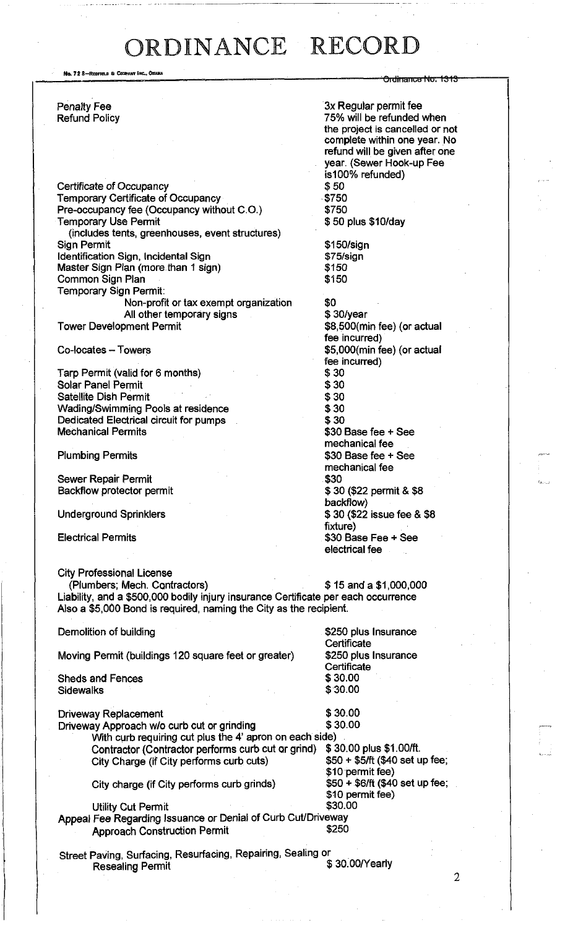No. 72 8-REDFIELD & COSPANY INC., OMAHA

Penalty Fee Refund Policy

Certificate of Occupancy Temporary Certificate of Occupancy Pre-occupancy fee (Occupancy without C.O.) Temporary Use Permit (includes tents, greenhouses, event structures) Sign Permit Identification Sign, Incidental Sign Master Sign Plan (more than 1 sign) Common Sign Plan Temporary Sign Permit: Non-profit or tax exempt organization All other temporary signs Tower Development Permit

Co-locates - Towers

Tarp Permit (valid for 6 months) Solar Panel Permit Satellite Dish Permit Wading/Swimming Pools at residence Dedicated Electrical circuit for pumps Mechanical Permits

Plumbing Permits

Sewer Repair Permit Backflow protector permit

Underground Sprinklers

Electrical Permits

City Professional License

(Plumbers; Mech. Contractors) \$ 15 and a \$1,000,000 Liability, and a \$500,000 bodily injury insurance Certificate per each occurrence Also a \$5,000 Bond is required, naming the City as the recipient.

Demolition of building

Moving Permit (buildings 120 square feet or greater)

Sheds and Fences **Sidewalks** 

Utility Cut Permit

Driveway Replacement  $\frac{1}{3}$  30.00<br>Driveway Approach w/o curb cut or grinding  $\frac{30.00}{3}$ Driveway Approach w/o curb cut or grinding With curb requiring cut plus the 4' apron on each side) Contractor (Contractor performs curb cut or grind) \$30.00 plus \$1.00/ft.<br>City Charge (if City performs curb cuts) \$50 + \$5/ft (\$40 set up fee; City Charge (if City performs curb cuts)

City charge (if City performs curb grinds)

3x Regular permit fee 75% will be refunded when the project is cancelled or not complete within one year. No refund will be given after one year. (Sewer Hook-up Fee is 100% refunded) \$50 \$750 \$750 \$ 50 plus \$10/day

<del>Drdinance No. 1313</del>

\$150/sign \$75/sign \$150 \$150

\$0 \$ 30/year \$8,500(min fee) (or actual fee incurred) \$5,000(min fee) (or actual fee incurred) \$30 \$30 \$30 \$30 \$30 \$30 Base fee + See mechanical fee \$30 Base fee + See mechanical fee \$30 \$ 30 (\$22 permit & \$8 backflow) \$ 30 (\$22 issue fee & \$8 fixture) \$30 Base Fee + See electrical fee

\$250 plus Insurance **Certificate** \$250 plus Insurance **Certificate** \$ 30.00 \$30.00

\$10 permit fee)<br>\$50 + \$6/ft (\$40 set up fee;

\$10 permit fee)<br>\$30.00

Approach Construction Permit **\$250** 

Street Paving, Surfacing, Resurfacing, Repairing, Sealing or **Resealing Permit** 

Appeal Fee Regarding Issuance or Denial of Curb Cut/Driveway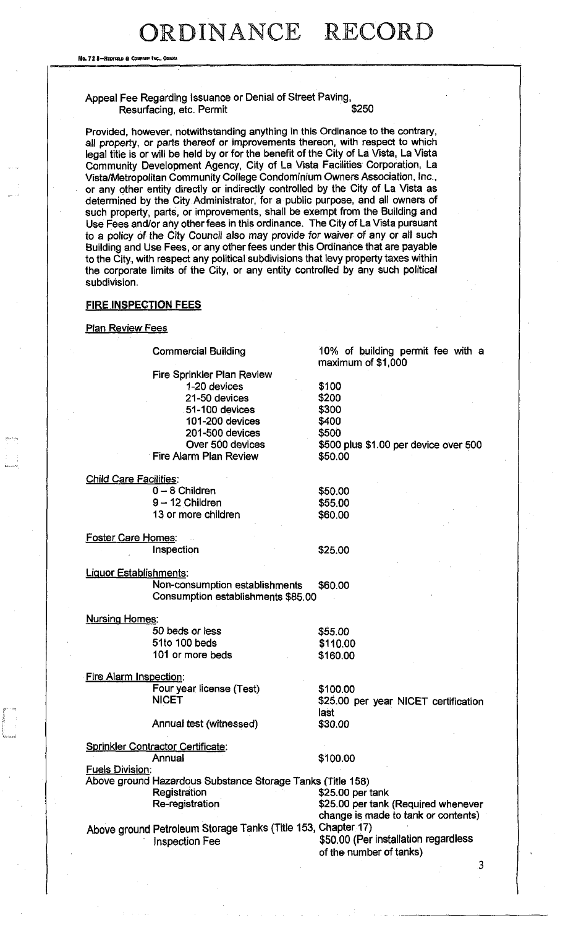No. 72 8-REDFIELD & COMPANY INC., ODIANA

#### Appeal Fee Regarding Issuance or Denial of Street Paving,<br>Resurfacing, etc. Permit Resurfacing, etc. Permit

Provided, however, notwithstanding anything in this Ordinance to the contrary, all property, or parts thereof or improvements thereon, with respect to which legal title is or will be held by or for the benefit of the City of La Vista, La Vista Community Development Agency, City of La Vista Facilities Corporation, La Vista/Metropolitan Community College Condominium Owners Association, Inc., or any other entity directly or indirectly controlled by the City of La Vista as determined by the City Administrator, for a public purpose, and all owners of such property, parts, or improvements, shall be exempt from the Building and Use Fees and/or any other fees in this ordinance. The City of La Vista pursuant to a policy of the City Council also may provide for waiver of any or all such Building and Use Fees, or any other fees under this Ordinance that are payable to the City, with respect any political subdivisions that levy property taxes within the corporate limits of the City, or any entity controlled by any such political subdivision.

#### **FIRE INSPECTION FEES**

**Plan Review Fees** 

Commercial Building

10% of building permit fee with a maximum of \$1,000

Fire Sprinkler Plan Review 1-20 devices 21 -50 devices 51-100 devices 101-200 devices 201-500 devices Over 500 devices Fire Alarm Plan Review

\$300 \$400 \$500 \$500 plus \$1.00 per device over 500 \$50.00

| <b>Child Care Facilities:</b> |         |
|-------------------------------|---------|
| $0 - 8$ Children              | \$50.00 |
| $9 - 12$ Children             | \$55.00 |
| 13 or more children           | \$60.00 |
|                               |         |

**Foster Care Homes:** Inspection

\$25.00

\$100 \$200

Liquor Establishments: Non-consumption establishments \$60.00 Consumption establishments \$85.00

| <b>Nursing Homes:</b> |          |
|-----------------------|----------|
| 50 beds or less       | \$55.00  |
| 51to 100 beds         | \$110.00 |
| 101 or more beds      | \$160.00 |

Fire Alarm Inspection: Four year license (Test) NICET

Annual test (witnessed)

Sprinkler Contractor Certificate:

Annual **\$100.00** 

\$100.00

last \$30.00

**Fuels Division:** Above ground Hazardous Substance Storage Tanks (Title 158) Registration \$25.00 per tank Re-registration  $$25.00$  per tank (Required whenever change is made to tank or contents)

Above ground Petroleum Storage Tanks (Title 153, Chapter 17) Inspection Fee \$50.00 (Per installation regardless

of the number of tanks)

\$25.00 per year NICET certification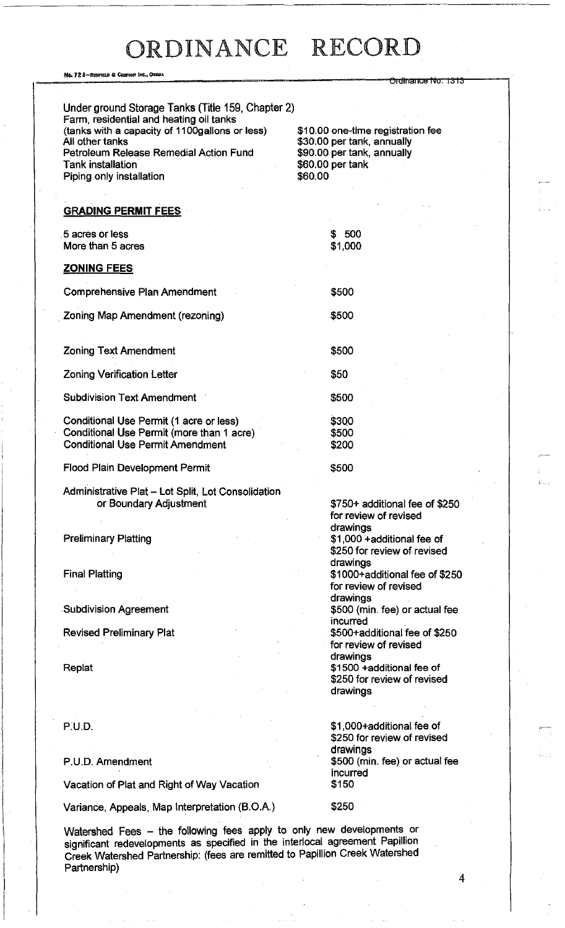| No. 72 8-Rediteld & Confany Inc., Omaha                                                                                                                                                                                                                             | <del>Ordinance No. 1313</del>                                                                                                |
|---------------------------------------------------------------------------------------------------------------------------------------------------------------------------------------------------------------------------------------------------------------------|------------------------------------------------------------------------------------------------------------------------------|
| Under ground Storage Tanks (Title 159, Chapter 2)<br>Farm, residential and heating oil tanks<br>(tanks with a capacity of 1100gallons or less)<br>All other tanks<br>Petroleum Release Remedial Action Fund<br><b>Tank installation</b><br>Piping only installation | \$10.00 one-time registration fee<br>\$30.00 per tank, annually<br>\$90.00 per tank, annually<br>\$60.00 per tank<br>\$60.00 |
| <b>GRADING PERMIT FEES</b>                                                                                                                                                                                                                                          |                                                                                                                              |
| 5 acres or less<br>More than 5 acres                                                                                                                                                                                                                                | \$500<br>\$1,000                                                                                                             |
| <b>ZONING FEES</b>                                                                                                                                                                                                                                                  |                                                                                                                              |
| <b>Comprehensive Plan Amendment</b>                                                                                                                                                                                                                                 | \$500                                                                                                                        |
| Zoning Map Amendment (rezoning)                                                                                                                                                                                                                                     | \$500                                                                                                                        |
| <b>Zoning Text Amendment</b>                                                                                                                                                                                                                                        | \$500                                                                                                                        |
| <b>Zoning Verification Letter</b>                                                                                                                                                                                                                                   | \$50                                                                                                                         |
| <b>Subdivision Text Amendment</b>                                                                                                                                                                                                                                   | \$500                                                                                                                        |
| Conditional Use Permit (1 acre or less)<br>Conditional Use Permit (more than 1 acre)<br><b>Conditional Use Permit Amendment</b>                                                                                                                                     | \$300<br>\$500<br>\$200                                                                                                      |
| <b>Flood Plain Development Permit</b>                                                                                                                                                                                                                               | \$500                                                                                                                        |
| Administrative Plat - Lot Split, Lot Consolidation<br>or Boundary Adjustment                                                                                                                                                                                        | \$750+ additional fee of \$250<br>for review of revised<br>drawings                                                          |
| <b>Preliminary Platting</b>                                                                                                                                                                                                                                         | \$1,000 + additional fee of<br>\$250 for review of revised<br>drawings                                                       |
| <b>Final Platting</b>                                                                                                                                                                                                                                               | \$1000+additional fee of \$250<br>for review of revised<br>drawings                                                          |
| <b>Subdivision Agreement</b>                                                                                                                                                                                                                                        | \$500 (min. fee) or actual fee<br>incurred                                                                                   |
| <b>Revised Preliminary Plat</b>                                                                                                                                                                                                                                     | \$500+additional fee of \$250<br>for review of revised<br>drawings                                                           |
| Replat                                                                                                                                                                                                                                                              | \$1500 +additional fee of<br>\$250 for review of revised<br>drawings                                                         |
| <b>P.U.D.</b>                                                                                                                                                                                                                                                       | \$1,000+additional fee of<br>\$250 for review of revised                                                                     |
| P.U.D. Amendment                                                                                                                                                                                                                                                    | drawings<br>\$500 (min. fee) or actual fee<br>incurred                                                                       |
| Vacation of Plat and Right of Way Vacation                                                                                                                                                                                                                          | \$150                                                                                                                        |
| Variance, Appeals, Map Interpretation (B.O.A.)                                                                                                                                                                                                                      | \$250                                                                                                                        |
|                                                                                                                                                                                                                                                                     |                                                                                                                              |

Watershed Fees – the following fees apply to only new developments or significant redevelopments as specified in the interlocal agreement Papillion Creek Watershed Partnership: (fees are remitted to Papillion Creek Watershed Partnership)

 $\overline{4}$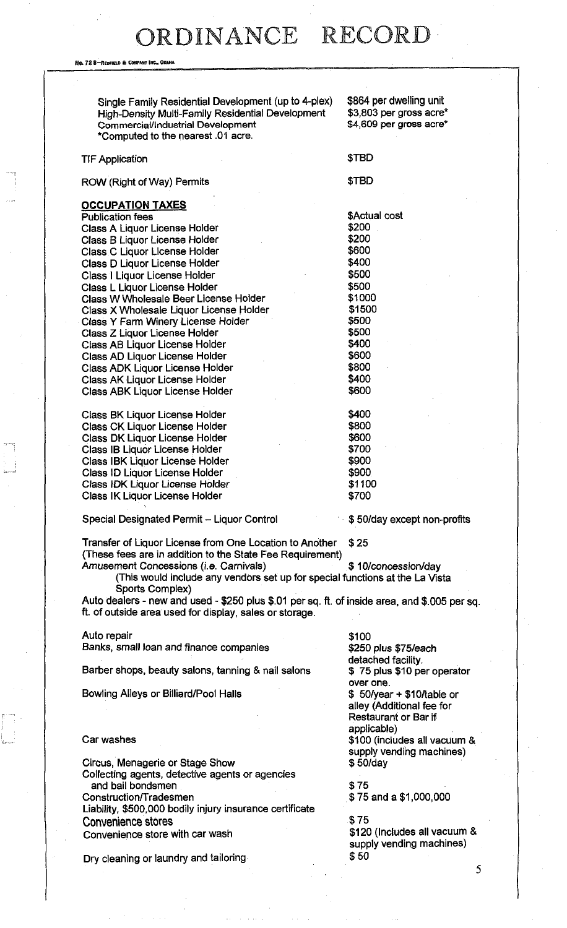No. 72 8-Redfield & Company Inc., Oha

| Single Family Residential Development (up to 4-plex)<br>High-Density Multi-Family Residential Development<br>Commercial/Industrial Development<br>*Computed to the nearest .01 acre. | \$864 per dwelling unit<br>\$3,803 per gross acre*<br>\$4,609 per gross acre* |
|--------------------------------------------------------------------------------------------------------------------------------------------------------------------------------------|-------------------------------------------------------------------------------|
| <b>TIF Application</b>                                                                                                                                                               | \$TBD                                                                         |
| ROW (Right of Way) Permits                                                                                                                                                           | \$TBD                                                                         |
| <b>OCCUPATION TAXES</b>                                                                                                                                                              |                                                                               |
| <b>Publication fees</b>                                                                                                                                                              | \$Actual cost                                                                 |
| Class A Liquor License Holder                                                                                                                                                        | \$200                                                                         |
| Class B Liquor License Holder                                                                                                                                                        | \$200                                                                         |
| Class C Liquor License Holder                                                                                                                                                        | \$600                                                                         |
| Class D Liquor License Holder                                                                                                                                                        | \$400                                                                         |
|                                                                                                                                                                                      | \$500                                                                         |
| Class I Liguor License Holder                                                                                                                                                        |                                                                               |
| Class L Liquor License Holder                                                                                                                                                        | \$500                                                                         |
| Class W Wholesale Beer License Holder                                                                                                                                                | \$1000                                                                        |
| Class X Wholesale Liquor License Holder                                                                                                                                              | \$1500                                                                        |
| Class Y Farm Winery License Holder                                                                                                                                                   | \$500                                                                         |
| Class Z Liquor License Holder                                                                                                                                                        | \$500                                                                         |
| Class AB Liquor License Holder                                                                                                                                                       | \$400                                                                         |
| Class AD Liquor License Holder                                                                                                                                                       | \$600                                                                         |
| Class ADK Liquor License Holder                                                                                                                                                      | \$800                                                                         |
| <b>Class AK Liquor License Holder</b>                                                                                                                                                | \$400                                                                         |
| <b>Class ABK Liquor License Holder</b>                                                                                                                                               | \$600                                                                         |
| <b>Class BK Liquor License Holder</b>                                                                                                                                                | \$400                                                                         |
| <b>Class CK Liquor License Holder</b>                                                                                                                                                | \$800                                                                         |
|                                                                                                                                                                                      | \$600                                                                         |
| Class DK Liquor License Holder                                                                                                                                                       |                                                                               |
| <b>Class IB Liquor License Holder</b>                                                                                                                                                | \$700                                                                         |
| Class IBK Liquor License Holder                                                                                                                                                      | \$900                                                                         |
| Class ID Liquor License Holder                                                                                                                                                       | \$900                                                                         |
| Class IDK Liquor License Holder                                                                                                                                                      | \$1100                                                                        |
| <b>Class IK Liquor License Holder</b>                                                                                                                                                | \$700                                                                         |
| Special Designated Permit - Liquor Control                                                                                                                                           | \$50/day except non-profits                                                   |
| Transfer of Liquor License from One Location to Another<br>(These fees are in addition to the State Fee Requirement)                                                                 | \$25                                                                          |
| Amusement Concessions (i.e. Carnivals)                                                                                                                                               | \$10/concession/day                                                           |
| (This would include any vendors set up for special functions at the La Vista                                                                                                         |                                                                               |
| Sports Complex)                                                                                                                                                                      |                                                                               |
| Auto dealers - new and used - \$250 plus \$.01 per sq. ft. of inside area, and \$.005 per sq.<br>ft. of outside area used for display, sales or storage.                             |                                                                               |
| Auto repair                                                                                                                                                                          | \$100                                                                         |
| Banks, small loan and finance companies                                                                                                                                              | \$250 plus \$75/each                                                          |
|                                                                                                                                                                                      | detached facility.                                                            |
| Barber shops, beauty salons, tanning & nail salons                                                                                                                                   | \$75 plus \$10 per operator<br>over one.                                      |
| Bowling Alleys or Billiard/Pool Halls                                                                                                                                                | $$50/year + $10/table$ or                                                     |
|                                                                                                                                                                                      | alley (Additional fee for<br>Restaurant or Bar if                             |
|                                                                                                                                                                                      | applicable)                                                                   |
| Car washes                                                                                                                                                                           | \$100 (includes all vacuum &                                                  |
|                                                                                                                                                                                      | supply vending machines)                                                      |
| Circus, Menagerie or Stage Show                                                                                                                                                      | \$50/day                                                                      |
| Collecting agents, detective agents or agencies                                                                                                                                      |                                                                               |
| and bail bondsmen                                                                                                                                                                    | \$75                                                                          |
| <b>Construction/Tradesmen</b>                                                                                                                                                        | \$75 and a \$1,000,000                                                        |
| Liability, \$500,000 bodily injury insurance certificate                                                                                                                             |                                                                               |
| <b>Convenience stores</b>                                                                                                                                                            | \$75                                                                          |
| Convenience store with car wash                                                                                                                                                      | \$120 (Includes all vacuum &                                                  |
|                                                                                                                                                                                      | supply vending machines)                                                      |
| Dry cleaning or laundry and tailoring                                                                                                                                                | \$50                                                                          |
|                                                                                                                                                                                      |                                                                               |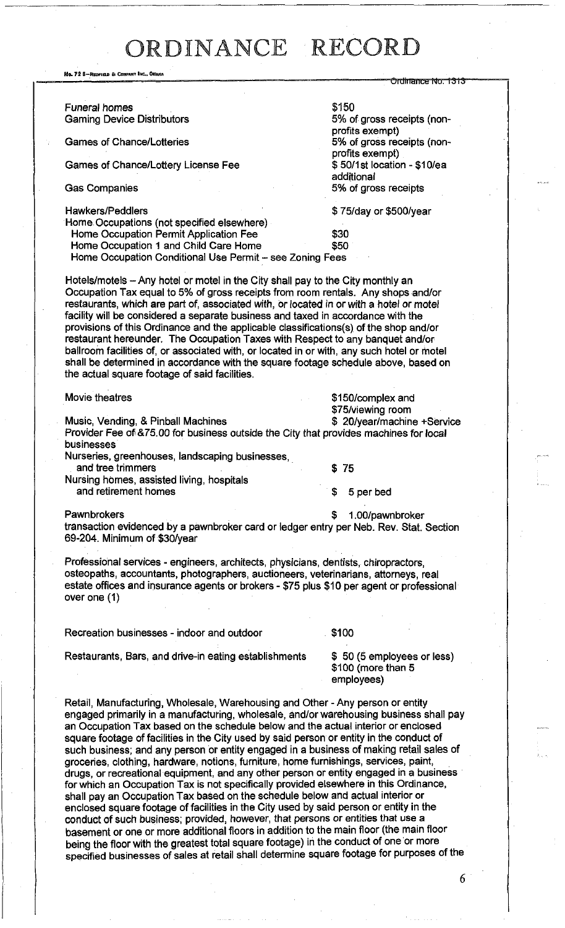, 72 B-RTOFIAE 6 CCHPAWV INC.,OHAHA Ordinance No. 1313 Funeral homes<br>
Gaming Device Distributors<br>
Gaming Device Distributors<br>  $5\%$  of gross receipts (non-**Gaming Device Distributors** profits exempt)<br>5% of gross receipts (non-Games of Chance/Lotteries profits exempt)<br>\$50/1st location - \$10/ea Games of Chance/Lottery License Fee additional Gas Companies 6 and 5% of gross receipts Hawkers/Peddlers **\$ 75/day or \$500/year** Home- Occupations (not specified elsewhere) Home Occupation Permit Application Fee \$30<br>Home Occupation 1 and Child Care Home \$50 Home Occupation 1 and Child Care Home Home Occupation Conditional Use Permit - see Zoning Fees Hotels/motels - Any hotel or motel in the City shall pay to the City monthly an Occupation Tax equal to 5% of gross receipts from room rentals. Any shops and/or restaurants, which are part of, associated with, or located in or with a hotel or motet facility will be considered a separate business and taxed in accordance with the provisions of this Ordinance and the applicable classifications(s) of the shop and/or restaurant hereunder. The Occupation Taxes with Respect to any banquet and/or ballroom facilities of, or associated with, or located in or with, any such hotel or motel shall be determined in accordance with the square footage schedule above, based on the actual square footage of said facilities. Movie theatres **\$150/complex and** \$75/viewing room<br>\$ 20/year/machine +Service Music, Vending, & Pinball Machines Provider Fee of &75.00 for business outside the City that provides machines for local businesses Nurseries, greenhouses, landscaping businesses, and tree trimmers \$ 75 Nursing homes, assisted living, hospitals and retirement homes **\$** 5 per bed Pawnbrokers **but a struck of the struck of the struck of the struck of the struck of the struck of the struck of the struck of the struck of the struck of the struck of the struck of the struck of the struck of the struck** transaction evidenced by a pawnbroker card or ledger entry per Neb. Rev. Stat. Section 69-204. Minimum of \$30/year Professional services - engineers, architects, physicians, dentists, chiropractors, osteopaths, accountants, photographers, auctioneers, veterinarians, attorneys, real estate offices and insurance agents or brokers - \$75 plus \$10 per agent or professional over one (1) Recreation businesses - indoor and outdoor **\$100** Restaurants, Bars, and drive-in eating establishments  $\frac{1}{3}$  50 (5 employees or less) \$100 (more than 5 employees) Retail, Manufacturing, Wholesale, Warehousing and Other - Any person or entity engaged primarily in a manufacturing, wholesale, and/or warehousing business shall pay an Occupation Tax based on the schedule below and the actual interior or enclosed square footage of facilities in the City used by said person or entity in the conduct of such business; and any person or entity engaged in a business of making retail sales of groceries, clothing, hardware, notions, furniture, home furnishings, services, paint,

drugs, or recreational equipment, and any other person or entity engaged in a business for which an Occupation Tax is not specifically provided elsewhere in this Ordinance, shall pay an Occupation Tax based on the schedule below and actual interior or enclosed square footage of facilities in the City used by said person or entity in the conduct of such business; provided, however, that persons or entities that use a basement or one or more additional floors in addition to the main floor (the main floor being the floor with the greatest total square footage) in the conduct of one or more specified businesses of sales at retail shall determine square footage for purposes of the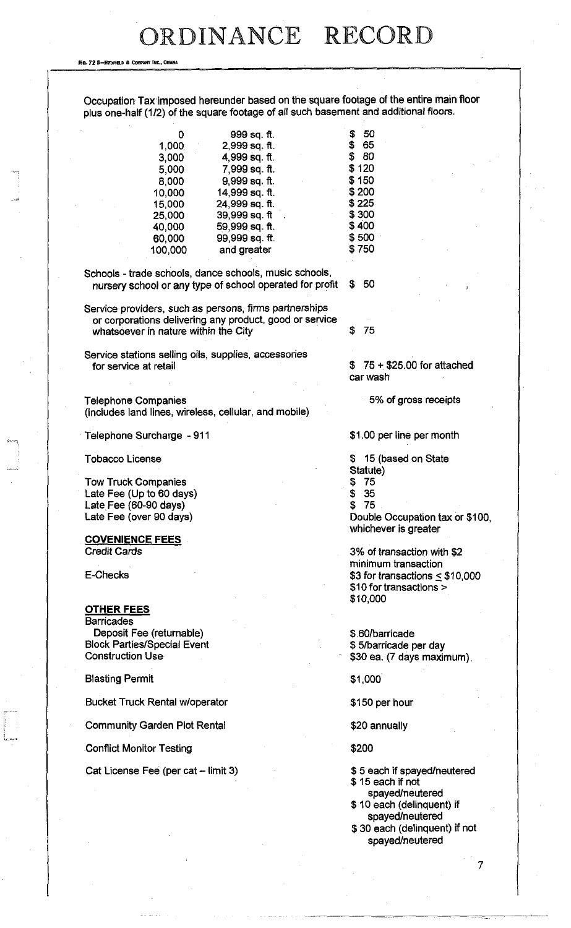**Ho, 72 8-REDFIELD & COBPANY INC., 0** 

Occupation Tax imposed hereunder based on the square footage of the entire main floor plus one-half (1/2) of the square footage of all such basement and additional floors.

0 999 sq. ft. \$ 50<br>1,000 2,999 sq. ft. \$ 65 2,999 sq. ft. \$ 65<br>4,999 sq. ft. \$ 80 3,000 4,999 sq. ft. \$ 80<br>5,000 7,999 sq. ft \$ 120 5,000 7,999 sq. ft. \$ 120 8,000 9,999 sq. ft. \$150<br>10,000 14,999 sq. ft. \$200 10,000 14,999 sq. ft. \$200 15,000 24,999 sq. ft. \$225<br>25,000 39,999 sq. ft. \$300 39,999 sq. ft 40,000 59,999 sq. ft. \$400<br>60.000 99,999 sq. ft. \$500 60,000 99,999 sq. ft. \$500<br>100.000 and greater \$750 100,000 and greater

Schools - trade schools, dance schools, music schools, nursery school or any type of school operated for profit \$ 50

Service providers, such as persons, firms partnerships or corporations delivering any product, good or service whatsoever in nature within the City  $$75$ 

Service stations selling oils, supplies, accessories for service at retail

Telephone Companies (includes land lines, wireless, cellular, and mobile)

Telephone Surcharge -911

Tobacco License

Tow Truck Companies Late Fee (Up to 60 days) Late Fee (60-90 days) Late Fee (over 90 days)

**covenience fees**  Credit Cards

E-Checks

#### **other fees**

**Barricades** Deposit Fee (returnable) Block Parties/Special Event Construction Use

Blasting Permit

Bucket Truck Rental w/operator

Community Garden Plot Rental

Conflict Monitor Testing

Cat License Fee (per cat - limit 3)

\$ 75 + \$25.00 for attached car wash

5% of gross receipts

\$1.00 per line per month

15 (based on State

Statute)

- \$ 75
- \$ 35

\$ 75

Double Occupation tax or \$100, whichever is greater

3% of transaction with \$2 minimum transaction \$3 for transactions  $\leq$  \$10,000 \$10 for transactions > \$10,000

\$ 60/barricade \$ 5/barricade per day \$30 ea. (7 days maximum)

\$1,000'

\$150 per hour

\$20 annually

\$200

\$ 5 each if spayed/neutered

\$ 15 each if not

spayed/neutered \$ 10 each (delinquent) if

spayed/neutered \$ 30 each (delinquent) if not spayed/neutered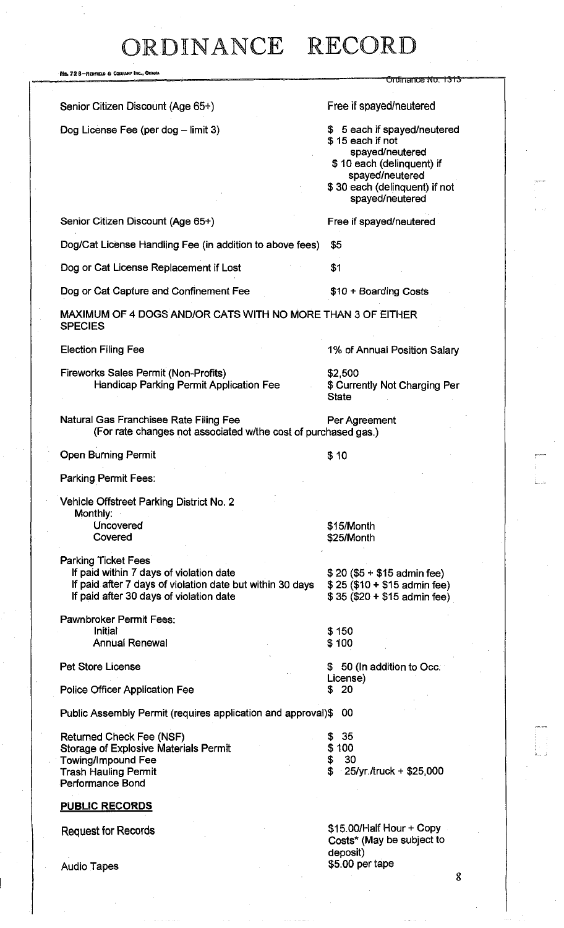| No. 72 8—Redpield & Company Inc., Omana                                                                                                                                       |                                                                                                                                                                         |
|-------------------------------------------------------------------------------------------------------------------------------------------------------------------------------|-------------------------------------------------------------------------------------------------------------------------------------------------------------------------|
|                                                                                                                                                                               | Orumance No. 1313                                                                                                                                                       |
| Senior Citizen Discount (Age 65+)                                                                                                                                             | Free if spayed/neutered                                                                                                                                                 |
| Dog License Fee (per dog - limit 3)                                                                                                                                           | \$ 5 each if spayed/neutered<br>\$15 each if not<br>spayed/neutered<br>\$10 each (delinguent) if<br>spayed/neutered<br>\$30 each (delinquent) if not<br>spayed/neutered |
| Senior Citizen Discount (Age 65+)                                                                                                                                             | Free if spayed/neutered                                                                                                                                                 |
| Dog/Cat License Handling Fee (in addition to above fees)                                                                                                                      | \$5                                                                                                                                                                     |
| Dog or Cat License Replacement if Lost                                                                                                                                        | \$1                                                                                                                                                                     |
| Dog or Cat Capture and Confinement Fee                                                                                                                                        | \$10 + Boarding Costs                                                                                                                                                   |
| MAXIMUM OF 4 DOGS AND/OR CATS WITH NO MORE THAN 3 OF EITHER<br><b>SPECIES</b>                                                                                                 |                                                                                                                                                                         |
| <b>Election Filing Fee</b>                                                                                                                                                    | 1% of Annual Position Salary                                                                                                                                            |
| Fireworks Sales Permit (Non-Profits)<br>Handicap Parking Permit Application Fee                                                                                               | \$2,500<br>\$ Currently Not Charging Per<br><b>State</b>                                                                                                                |
| Natural Gas Franchisee Rate Filing Fee<br>(For rate changes not associated w/the cost of purchased gas.)                                                                      | Per Agreement                                                                                                                                                           |
| <b>Open Burning Permit</b>                                                                                                                                                    | \$ 10                                                                                                                                                                   |
| Parking Permit Fees:                                                                                                                                                          |                                                                                                                                                                         |
| Vehicle Offstreet Parking District No. 2<br>Monthly:                                                                                                                          |                                                                                                                                                                         |
| Uncovered<br>Covered                                                                                                                                                          | \$15/Month<br>\$25/Month                                                                                                                                                |
| <b>Parking Ticket Fees</b><br>If paid within 7 days of violation date<br>If paid after 7 days of violation date but within 30 days<br>If paid after 30 days of violation date | $$20 ($5 + $15$ admin fee)<br>$$25 ($10 + $15$$ admin fee)<br>$$35 ($20 + $15$ admin fee)$                                                                              |
| Pawnbroker Permit Fees:                                                                                                                                                       |                                                                                                                                                                         |
| Initial<br><b>Annual Renewal</b>                                                                                                                                              | \$150<br>\$100                                                                                                                                                          |
| Pet Store License                                                                                                                                                             | \$50 (In addition to Occ.                                                                                                                                               |
| <b>Police Officer Application Fee</b>                                                                                                                                         | License)<br>20<br>S                                                                                                                                                     |
| Public Assembly Permit (requires application and approval)\$                                                                                                                  | 00                                                                                                                                                                      |
| <b>Returned Check Fee (NSF)</b><br><b>Storage of Explosive Materials Permit</b><br>Towing/Impound Fee<br><b>Trash Hauling Permit</b><br><b>Performance Bond</b>               | 35<br>\$<br>\$100<br>\$<br>30<br>\$<br>25/yr./truck + \$25,000                                                                                                          |
| <b>PUBLIC RECORDS</b>                                                                                                                                                         |                                                                                                                                                                         |
| <b>Request for Records</b>                                                                                                                                                    | \$15,00/Half Hour + Copy<br>Costs* (May be subject to<br>deposit)                                                                                                       |

Audio Tapes \$5.00 per tape

 $\overline{\mathbf{8}}$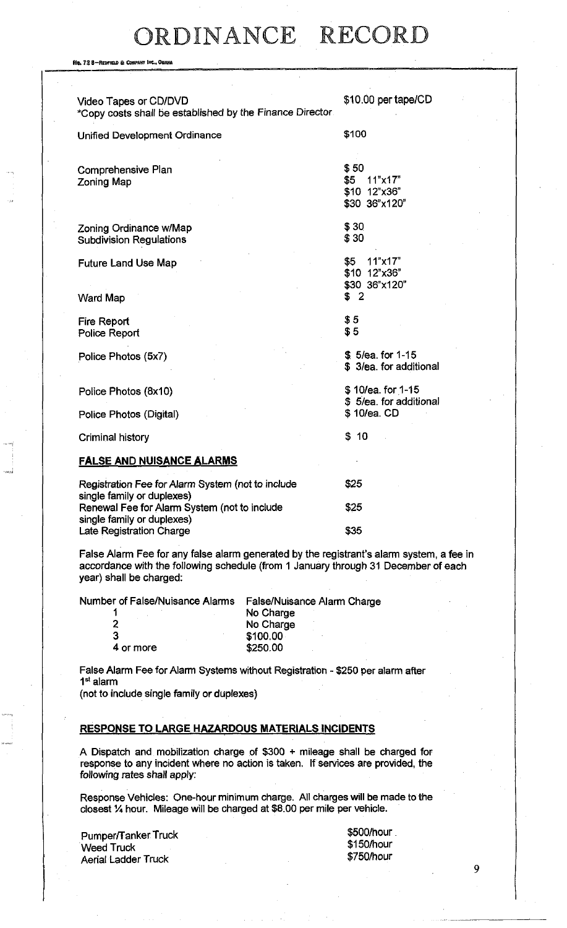Ne. 72 8-REDFIELD & COMPANY INC., OH Video Tapes or CD/DVD \*Copy costs shall be established by the Finance Director Unified Development Ordinance \$10.00 per tape/CD \$100 Comprehensive Plan Zoning Map Zoning Ordinance w/Map Subdivision Regulations Future Land Use Map \$50 \$5 11"x17" \$10 12"x36" \$30 36"x120" \$30 \$30 \$5 11"x17" \$10 12"x36"

Ward Map

Fire Report Police Report

Police Photos (5x7)

Police Photos (Digital)

Police Photos (8x10)

Criminal history

#### **false and nuisance alarms**

| Registration Fee for Alarm System (not to include<br>single family or duplexes) | \$25 |
|---------------------------------------------------------------------------------|------|
| Renewal Fee for Alarm System (not to include                                    | \$25 |
| single family or duplexes)<br><b>Late Registration Charge</b>                   | \$35 |

False Alarm Fee for any false alarm generated by the registrant's alarm system, a fee in accordance with the following schedule (from 1 January through 31 December of each year) shall be charged:

Number of False/Nuisance Alarms False/Nuisance Alarm Charge

4 or more

1 No Charge<br>2 No Charge 2 No Charge<br>3 100 00 \$100.00<br>\$250.00

False Alarm Fee for Alarm Systems without Registration - \$250 per alarm after 1 st alarm

(not to include single family or duplexes)

#### **response to large hazardous materials incidents**

A Dispatch and mobilization charge of \$300 + mileage shall be charged for response to any incident where no action is taken. If services are provided, the following rates shall apply:

Response Vehicles: One-hour minimum charge. All charges will be made to the closest % hour. Mileage will be charged at \$8.00 per mile per vehicle.

Pumper/Tanker Truck Weed Truck Aerial Ladder Truck

\$500/hour \$150/hour \$750/hour

\$30 36"x120"

\$ 5/ea. for 1-15 \$ 3/ea. for additional

\$ 10/ea. for 1-15 \$ 5/ea. for additional

\$ 10/ea. CD

\$ 10

\$ 2

\$5 \$5

g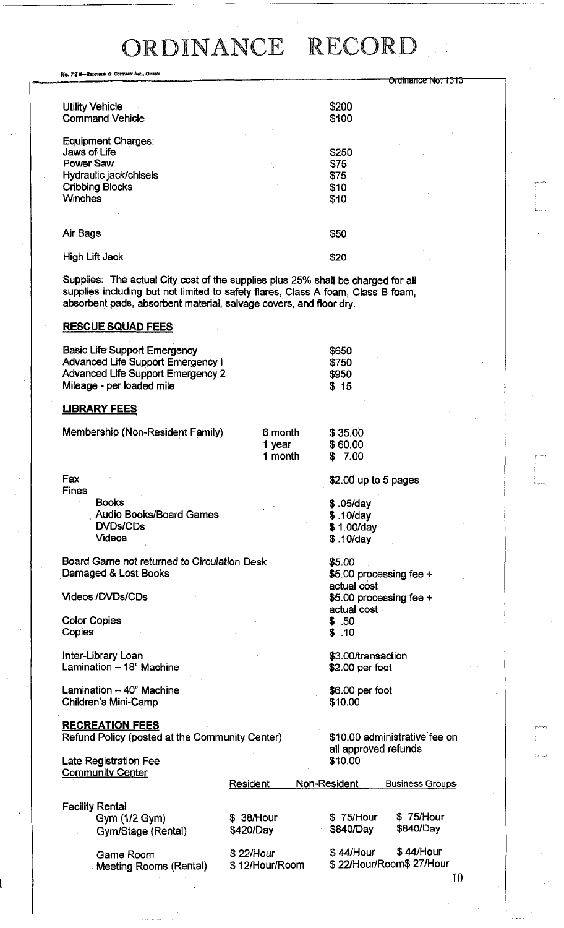Ne. 72 8-REDFIELD & CONFANY INC., OMANA Ordinance Nov 1313 Utility Vehicle Command Vehicle Equipment Charges: Jaws of Life Power Saw Hydraulic jack/chisels Cribbing Blocks **Winches \$200**  \$100 \$250 \$75 \$75 \$10 \$10 Air Bags High Lift Jack \$50 \$20

Supplies: The actual City cost of the supplies plus 25% shall be charged for all supplies including but not limited to safety flares, Class A foam, Class B foam, absorbent pads, absorbent material, salvage covers, and floor dry.

#### RESCUE SQUAD FEES

| <b>Basic Life Support Emergency</b>      | \$650 |
|------------------------------------------|-------|
| Advanced Life Support Emergency i        | \$750 |
| <b>Advanced Life Support Emergency 2</b> | \$950 |
| Mileage - per loaded mile                | \$15  |
|                                          |       |

#### LIBRARY FEES

| Membership (Non-Resident Family) | 6 month | \$35.00 |
|----------------------------------|---------|---------|
|                                  | 1 year  | \$60.00 |
|                                  | 1 month | \$ 7.00 |

Fax Fines Books Audio Books/Board Games DVDs/CDs Videos

Board Game not returned to Circulation Desk Damaged & Lost Books

Videos/DVDs/CDs

Color Copies **Copies** 

Inter-Library Loan Lamination - 18" Machine

Lamination - 40" Machine Children's Mini-Camp

### RECREATION FEES

Refund Policy (posted at the Community Center)

#### Late Registration Fee **Community Center**

\$10.00 administrative fee on all approved refunds \$10,00

\$2.00 up to 5 pages

\$5.00 processing fee +

\$5.00 processing fee +

\$ ,05/day \$ .10/day \$ 1.00/day \$. 10/day

\$5.00

actual cost

actual cost \$ .50 \$ .10

\$3.00/transaction \$2.00 per foot

\$6.00 per foot

\$10.00

|                                                               | Resident                    | Non-Resident           | <b>Business Groups</b>               |
|---------------------------------------------------------------|-----------------------------|------------------------|--------------------------------------|
| <b>Facility Rental</b><br>Gym (1/2 Gym)<br>Gym/Stage (Rental) | \$ 38/Hour<br>\$420/Day     | \$75/Hour<br>\$840/Day | \$75/Hour<br>\$840/Day               |
| Game Room<br>Meeting Rooms (Rental)                           | \$22/Hour<br>\$12/Hour/Room | $$44/$ Hour            | \$44/Hour<br>\$22/Hour/Room\$27/Hour |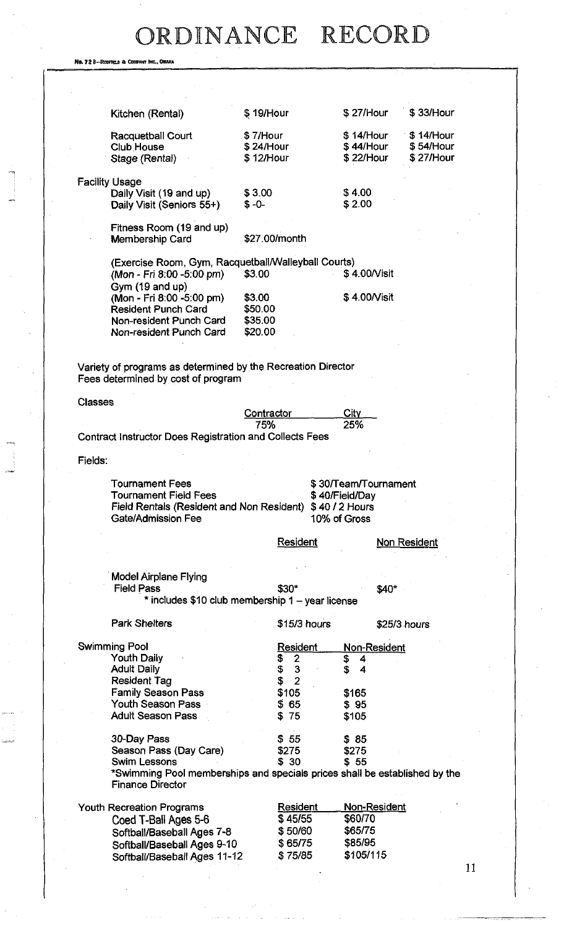Ne. 72 8-REDFIELD & COMPANY INC., O

|                | Kitchen (Rental)                                                                                   | \$19/Hour                |                      | \$27/Hour            | \$33/Hour           |
|----------------|----------------------------------------------------------------------------------------------------|--------------------------|----------------------|----------------------|---------------------|
|                | <b>Racquetball Court</b>                                                                           | \$7/Hour                 |                      | \$14/Hour            | \$14/Hour           |
|                | <b>Club House</b>                                                                                  | $$24/$ Hour              |                      | \$44/Hour            | \$54/Hour           |
|                | Stage (Rental)                                                                                     | \$12/Hour                |                      | \$22/Hour            | \$27/Hour           |
|                | <b>Facility Usage</b>                                                                              |                          |                      |                      |                     |
|                | Daily Visit (19 and up)                                                                            | \$3.00                   |                      | \$4.00               |                     |
|                | Daily Visit (Seniors 55+)                                                                          | $$ -0-$                  |                      | \$2.00               |                     |
|                | Fitness Room (19 and up)                                                                           |                          |                      |                      |                     |
|                | <b>Membership Card</b>                                                                             |                          | \$27.00/month        |                      |                     |
|                | (Exercise Room, Gym, Racquetball/Walleyball Courts)                                                |                          |                      |                      |                     |
|                | (Mon - Fri 8.00 -5.00 pm)                                                                          | \$3.00                   |                      | \$4.00/Visit         |                     |
|                | Gym (19 and up)                                                                                    |                          |                      |                      |                     |
|                | (Mon - Fri 8:00 -5:00 pm)                                                                          | \$3.00                   |                      | \$4.00/Visit         |                     |
|                | <b>Resident Punch Card</b>                                                                         | \$50.00                  |                      |                      |                     |
|                | Non-resident Punch Card                                                                            | \$35.00                  |                      |                      |                     |
|                | Non-resident Punch Card                                                                            | \$20.00                  |                      |                      |                     |
|                |                                                                                                    |                          |                      |                      |                     |
|                | Variety of programs as determined by the Recreation Director<br>Fees determined by cost of program |                          |                      |                      |                     |
|                |                                                                                                    |                          |                      |                      |                     |
| <b>Classes</b> |                                                                                                    |                          |                      |                      |                     |
|                |                                                                                                    | <b>Contractor</b><br>75% |                      | City<br>25%          |                     |
|                | <b>Contract Instructor Does Registration and Collects Fees</b>                                     |                          |                      |                      |                     |
| Fields:        |                                                                                                    |                          |                      |                      |                     |
|                |                                                                                                    |                          |                      |                      |                     |
|                | <b>Tournament Fees</b>                                                                             |                          |                      | \$30/Team/Tournament |                     |
|                | <b>Tournament Field Fees</b>                                                                       |                          |                      | \$40/Field/Day       |                     |
|                | Field Rentals (Resident and Non Resident) \$40 / 2 Hours                                           |                          |                      |                      |                     |
|                | Gate/Admission Fee                                                                                 |                          |                      | 10% of Gross         |                     |
|                |                                                                                                    |                          | <b>Resident</b>      |                      | <b>Non Resident</b> |
|                |                                                                                                    |                          |                      |                      |                     |
|                | Model Airplane Flying                                                                              |                          |                      |                      |                     |
|                | <b>Field Pass</b>                                                                                  |                          | \$30*                | \$40*                |                     |
|                | * includes \$10 club membership 1 - year license                                                   |                          |                      |                      |                     |
|                | <b>Park Shelters</b>                                                                               |                          | $$15/3$ hours        |                      | \$25/3 hours        |
|                | <b>Swimming Pool</b>                                                                               |                          | <u>Resident</u>      | Non-Resident         |                     |
|                | <b>Youth Daily</b>                                                                                 |                          | 2<br>S               | \$<br>4              |                     |
|                | <b>Adult Daily</b>                                                                                 |                          | \$<br>3              | \$<br>4              |                     |
|                | <b>Resident Tag</b>                                                                                |                          | $\overline{2}$<br>\$ |                      |                     |
|                | <b>Family Season Pass</b>                                                                          |                          | \$105                | \$165                |                     |
|                | Youth Season Pass                                                                                  |                          | \$65                 | \$95                 |                     |
|                | <b>Adult Season Pass</b>                                                                           |                          | \$75                 | \$105                |                     |
|                | 30-Day Pass                                                                                        |                          | \$55                 | \$85                 |                     |
|                | Season Pass (Day Care)                                                                             |                          | \$275                | \$275                |                     |
|                | <b>Swim Lessons</b>                                                                                |                          | \$30                 | \$55                 |                     |
|                | *Swimming Pool memberships and specials prices shall be established by the                         |                          |                      |                      |                     |
|                | <b>Finance Director</b>                                                                            |                          |                      |                      |                     |
|                | Youth Recreation Programs                                                                          |                          | <b>Resident</b>      | <u>Non-Resident</u>  |                     |
|                | Coed T-Ball Ages 5-6                                                                               |                          | \$45/55              | \$60/70              |                     |
|                | Softball/Baseball Ages 7-8                                                                         |                          | \$50/60              | \$65/75              |                     |
|                | Softball/Baseball Ages 9-10                                                                        |                          | \$65/75              | \$85/95              |                     |
|                | Softball/Baseball Ages 11-12                                                                       |                          | \$75/85              | \$105/115            |                     |
|                |                                                                                                    |                          |                      |                      |                     |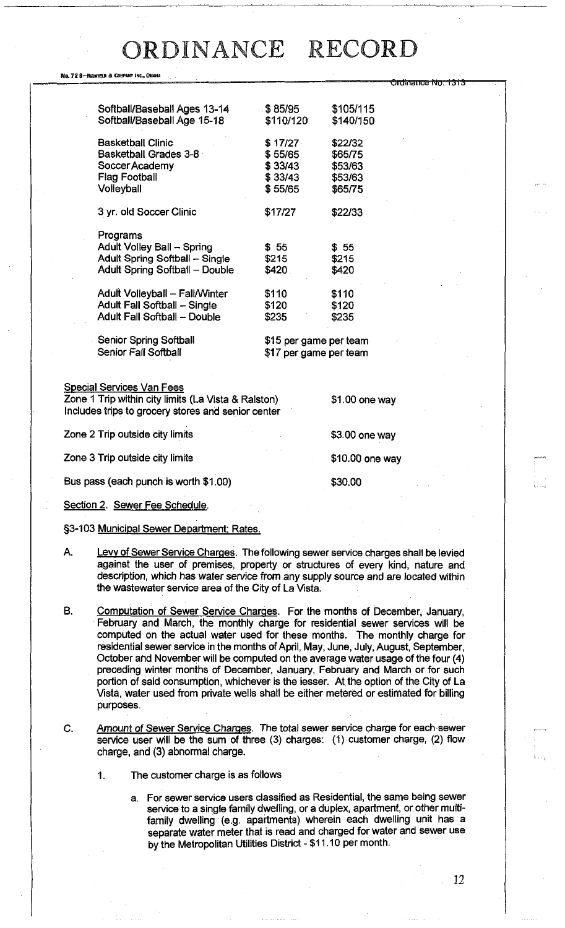Ordinance No. 1313

#### No. 72 8-REDFTELD & COMPANY INC., OMAHA

| Softball/Baseball Ages 13-14          | .\$85/95∶              | \$105/115 |
|---------------------------------------|------------------------|-----------|
| Softball/Baseball Age 15-18           | \$110/120              | \$140/150 |
|                                       |                        |           |
| <b>Basketball Clinic</b>              | \$17/27                | \$22/32   |
| Basketball Grades 3-8                 | \$55/65                | \$65/75   |
| Soccer Academy                        | \$33/43                | \$53/63   |
| <b>Flag Football</b>                  | \$33/43                | \$53/63   |
| Volleyball                            | \$55/65                | \$65/75   |
|                                       |                        |           |
| 3 yr. old Soccer Clinic               | \$17/27                | \$22/33   |
|                                       |                        |           |
| Programs                              |                        |           |
| <b>Adult Volley Ball - Spring</b>     | \$ 55                  | \$55      |
| <b>Adult Spring Softball - Single</b> | \$215                  | \$215     |
| Adult Spring Softball - Double        | \$420                  | \$420     |
|                                       |                        |           |
| Adult Volleyball – Fall/Winter        | \$110                  | \$110     |
| <b>Adult Fall Softball - Single</b>   | \$120                  | \$120     |
| <b>Adult Fall Softball - Double</b>   | \$235                  | \$235     |
|                                       |                        |           |
| <b>Senior Spring Softball</b>         | \$15 per game per team |           |
| Senior Fall Softball                  | \$17 per game per team |           |
|                                       |                        |           |

Special Services Van Fees

Zone 1 Trip within city limits (La Vista & Ralston) \$1.00 one way Includes trips to grocery stores and senior center

| Zone 2 Trip outside city limits       | \$3.00 one way  |
|---------------------------------------|-----------------|
| Zone 3 Trip outside city limits       | \$10.00 one way |
| Bus pass (each punch is worth \$1.00) | \$30.00         |

Section 2. Sewer Fee Schedule.

§3-103 Municipal Sewer Department; Rates.

- A. Levy of Sewer Service Charges. The following sewer service charges shall be levied against the user of premises, property or structures of every kind, nature and description, which has water service from any supply source and are located within the wastewater service area of the City of La Vista.
- B. Computation of Sewer Service Charges. For the months of December, January, February and March, the monthly charge for residential sewer services will be computed on the actual water used for these months. The monthly charge for residential sewer service in the months of April, May, June, July, August, September, October and November will be computed on the average water usage of the four (4) preceding winter months of December, January, February and March or for such portion of said consumption, whichever is the lesser. At the option of the City of La Vista, water used from private wells shall be either metered or estimated for billing purposes.
- C. Amount of Sewer Service Charges. The total sewer service charge for each sewer service user will be the sum of three (3) charges: (1) customer charge, (2) flow charge, and (3) abnormal charge.
	- 1. The customer charge is as follows
		- a. For sewer service users classified as Residential, the same being sewer service to a single family dwelling, or a duplex, apartment, or other multifamily dwelling (e.g. apartments) wherein each dwelling unit has a separate water meter that is read and charged for water and sewer use by the Metropolitan Utilities District - \$11.10 per month.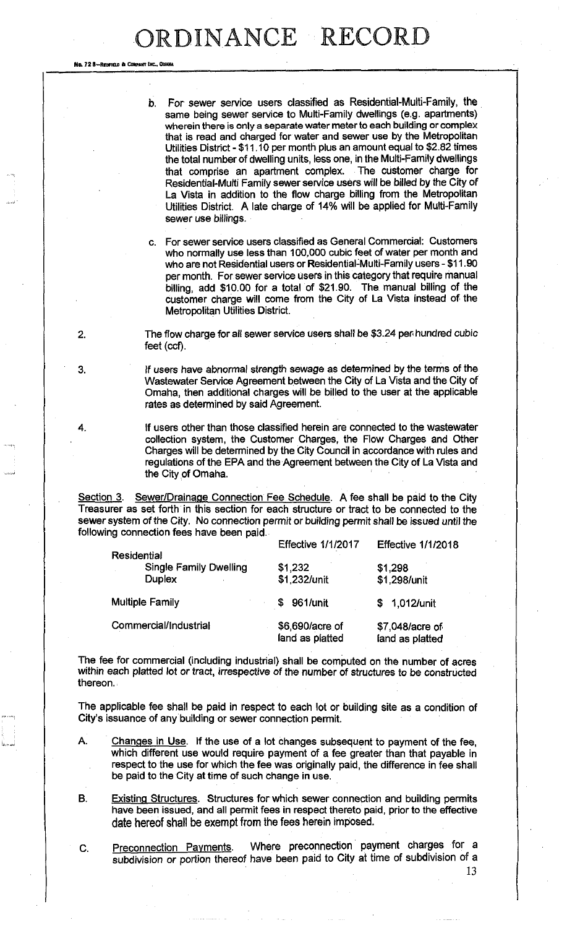No. 72 8-REDFIELD & COMPANY INC., OHANA

| wherein there is only a separate water meter to each building or complex<br>that is read and charged for water and sewer use by the Metropolitan<br>the total number of dwelling units, less one, in the Multi-Family dwellings<br>La Vista in addition to the flow charge billing from the Metropolitan<br>Utilities District. A late charge of 14% will be applied for Multi-Family<br>sewer use billings. | b. For sewer service users classified as Residential-Multi-Family, the<br>same being sewer service to Multi-Family dwellings (e.g. apartments)<br>Utilities District - \$11.10 per month plus an amount equal to \$2.82 times<br>that comprise an apartment complex. The customer charge for<br>Residential-Multi Family sewer service users will be billed by the City of |
|--------------------------------------------------------------------------------------------------------------------------------------------------------------------------------------------------------------------------------------------------------------------------------------------------------------------------------------------------------------------------------------------------------------|----------------------------------------------------------------------------------------------------------------------------------------------------------------------------------------------------------------------------------------------------------------------------------------------------------------------------------------------------------------------------|
|--------------------------------------------------------------------------------------------------------------------------------------------------------------------------------------------------------------------------------------------------------------------------------------------------------------------------------------------------------------------------------------------------------------|----------------------------------------------------------------------------------------------------------------------------------------------------------------------------------------------------------------------------------------------------------------------------------------------------------------------------------------------------------------------------|

c. For sewer service users classified as General Commercial: Customers who normally use less than 100,000 cubic feet of water per month and who are not Residential users or Residential-Multi-Family users - \$11.90 per month. For sewer service users in this category that require manual billing, add \$10.00 for a total of \$21.90. The manual billing of the customer charge will come from the City of La Vista instead of the Metropolitan Utilities District.

2. The flow charge for all sewer service users shall be \$3.24 per hundred cubic feet (ccf).

3. If users have abnormal strength sewage as determined by the terms of the Wastewater Service Agreement between the City of La Vista and the City of Omaha, then additional charges will be billed to the user at the applicable rates as determined by said Agreement.

4. If users other than those classified herein are connected to the wastewater collection system, the Customer Charges, the Flow Charges and Other Charges will be determined by the City Council in accordance with rules and regulations of the EPA and the Agreement between the City of La Vista and the City of Omaha.

Section 3. Sewer/Drainage Connection Fee Schedule. A fee shall be paid to the City Treasurer as set forth in this section for each structure or tract to be connected to the sewer system of the City. No connection permit or building permit shall be issued until the following connection fees have been paid.

|                                                               | <b>Effective 1/1/2017</b>          | <b>Effective 1/1/2018</b>          |
|---------------------------------------------------------------|------------------------------------|------------------------------------|
| Residential<br><b>Single Family Dwelling</b><br><b>Duplex</b> | \$1,232<br>\$1,232/unit            | \$1,298<br>\$1,298/unit            |
| Multiple Family                                               | 961/unit<br>S                      | \$ 1,012/unit                      |
| Commercial/Industrial                                         | \$6,690/acre of<br>land as platted | \$7,048/acre of<br>land as platted |

The fee for commercial (including industrial) shall be computed on the number of acres within each platted lot or tract, irrespective of the number of structures to be constructed thereon.

The applicable fee shall be paid in respect to each lot or building site as a condition of City's issuance of any building or sewer connection permit.

- A. Changes in Use. If the use of a lot changes subsequent to payment of the fee, which different use would require payment of a fee greater than that payable in respect to the use for which the fee was originally paid, the difference in fee shall be paid to the City at time of such change in use.
- B. Existing Structures. Structures for which sewer connection and building permits have been issued, and all permit fees in respect thereto paid, prior to the effective **date** hereof **shall** be exempt from the fees herein imposed.

C. Preconnection Payments. Where preconnection payment charges for a subdivision or portion thereof have been paid to City at time of subdivision of a